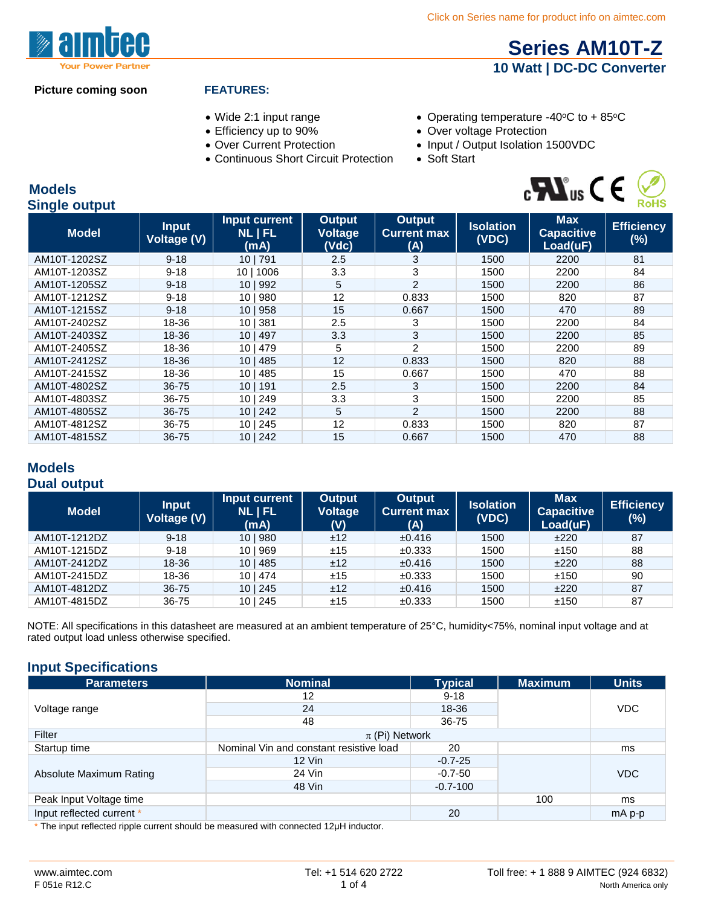## **[Series AM10T-Z](http://www.aimtec.com/am10t-z) 10 Watt | DC-DC Converter**

#### **Picture coming soon FEATURES:**

- 
- 
- 
- Continuous Short Circuit Protection
- Wide 2:1 input range Operating temperature -40°C to +85°C
- Efficiency up to 90% Over voltage Protection
- Over Current Protection Input / Output Isolation 1500VDC<br>• Continuous Short Circuit Protection Soft Start
	-



#### **Models Single output**

| $\sim$ $\sim$ $\sim$ $\sim$ $\sim$ $\sim$ $\sim$ |                             |                                       |                                          |                                            |                           |                                             |                             |
|--------------------------------------------------|-----------------------------|---------------------------------------|------------------------------------------|--------------------------------------------|---------------------------|---------------------------------------------|-----------------------------|
| <b>Model</b>                                     | <b>Input</b><br>Voltage (V) | Input current<br><b>NLIFL</b><br>(mA) | <b>Output</b><br><b>Voltage</b><br>(Vdc) | <b>Output</b><br><b>Current max</b><br>(A) | <b>Isolation</b><br>(VDC) | <b>Max</b><br><b>Capacitive</b><br>Load(uF) | <b>Efficiency</b><br>$(\%)$ |
| AM10T-1202SZ                                     | $9 - 18$                    | 10 791                                | 2.5                                      | 3                                          | 1500                      | 2200                                        | 81                          |
| AM10T-1203SZ                                     | $9 - 18$                    | 1006<br>10 I                          | 3.3                                      | 3                                          | 1500                      | 2200                                        | 84                          |
| AM10T-1205SZ                                     | $9 - 18$                    | 10   992                              | 5                                        | $\overline{2}$                             | 1500                      | 2200                                        | 86                          |
| AM10T-1212SZ                                     | $9 - 18$                    | 980<br>10 <sub>1</sub>                | 12                                       | 0.833                                      | 1500                      | 820                                         | 87                          |
| AM10T-1215SZ                                     | $9 - 18$                    | 10   958                              | 15                                       | 0.667                                      | 1500                      | 470                                         | 89                          |
| AM10T-2402SZ                                     | 18-36                       | 381<br>10 <sub>1</sub>                | 2.5                                      | 3                                          | 1500                      | 2200                                        | 84                          |
| AM10T-2403SZ                                     | 18-36                       | 497<br>10 <sub>1</sub>                | 3.3                                      | 3                                          | 1500                      | 2200                                        | 85                          |
| AM10T-2405SZ                                     | 18-36                       | 10 <sub>1</sub><br>479                | 5                                        | $\overline{2}$                             | 1500                      | 2200                                        | 89                          |
| AM10T-2412SZ                                     | 18-36                       | 485<br>10 <sub>1</sub>                | 12                                       | 0.833                                      | 1500                      | 820                                         | 88                          |
| AM10T-2415SZ                                     | 18-36                       | 485<br>10 <sub>1</sub>                | 15                                       | 0.667                                      | 1500                      | 470                                         | 88                          |
| AM10T-4802SZ                                     | 36-75                       | 191<br>10 I                           | 2.5                                      | 3                                          | 1500                      | 2200                                        | 84                          |
| AM10T-4803SZ                                     | 36-75                       | 249<br>10 <sub>1</sub>                | 3.3                                      | 3                                          | 1500                      | 2200                                        | 85                          |
| AM10T-4805SZ                                     | 36-75                       | 10   242                              | 5                                        | $\overline{2}$                             | 1500                      | 2200                                        | 88                          |
| AM10T-4812SZ                                     | 36-75                       | 245<br>10 I                           | 12                                       | 0.833                                      | 1500                      | 820                                         | 87                          |
| AM10T-4815SZ                                     | 36-75                       | 10   242                              | 15                                       | 0.667                                      | 1500                      | 470                                         | 88                          |

#### **Models Dual output**

| <b>Model</b> | <b>Input</b><br>Voltage (V) | Input current<br><b>NLIFL</b><br>(mA) | <b>Output</b><br>Voltage<br>(V) | <b>Output</b><br><b>Current max</b><br>(A) | <b>Isolation</b><br>(VDC) | <b>Max</b><br><b>Capacitive</b><br>Load(uF) | <b>Efficiency</b><br>$(\%)$ |
|--------------|-----------------------------|---------------------------------------|---------------------------------|--------------------------------------------|---------------------------|---------------------------------------------|-----------------------------|
| AM10T-1212DZ | $9 - 18$                    | 10   980                              | ±12                             | $\pm 0.416$                                | 1500                      | ±220                                        | 87                          |
| AM10T-1215DZ | $9 - 18$                    | 10   969                              | ±15                             | ±0.333                                     | 1500                      | ±150                                        | 88                          |
| AM10T-2412DZ | 18-36                       | 10 485                                | ±12                             | $\pm 0.416$                                | 1500                      | ±220                                        | 88                          |
| AM10T-2415DZ | 18-36                       | 101474                                | ±15                             | ±0.333                                     | 1500                      | ±150                                        | 90                          |
| AM10T-4812DZ | $36 - 75$                   | 101245                                | ±12                             | $\pm 0.416$                                | 1500                      | ±220                                        | 87                          |
| AM10T-4815DZ | 36-75                       | 10 245                                | ±15                             | $\pm 0.333$                                | 1500                      | ±150                                        | 87                          |

NOTE: All specifications in this datasheet are measured at an ambient temperature of 25°C, humidity<75%, nominal input voltage and at rated output load unless otherwise specified.

### **Input Specifications**

| <b>Parameters</b>              | <b>Nominal</b>                          | <b>Typical</b> | <b>Maximum</b> | <b>Units</b> |
|--------------------------------|-----------------------------------------|----------------|----------------|--------------|
|                                | 12                                      | $9 - 18$       |                |              |
| Voltage range                  | 24                                      | 18-36          |                | <b>VDC</b>   |
|                                | 48                                      | 36-75          |                |              |
| Filter                         | $\pi$ (Pi) Network                      |                |                |              |
| Startup time                   | Nominal Vin and constant resistive load | 20             |                | ms           |
|                                | $12$ Vin                                | $-0.7 - 25$    |                | <b>VDC</b>   |
| Absolute Maximum Rating        | 24 Vin                                  | $-0.7 - 50$    |                |              |
|                                | 48 Vin                                  | $-0.7 - 100$   |                |              |
| Peak Input Voltage time        |                                         |                | 100            | ms           |
| Input reflected current *<br>. |                                         | 20             |                | mA p-p       |

\* The input reflected ripple current should be measured with connected 12µH inductor.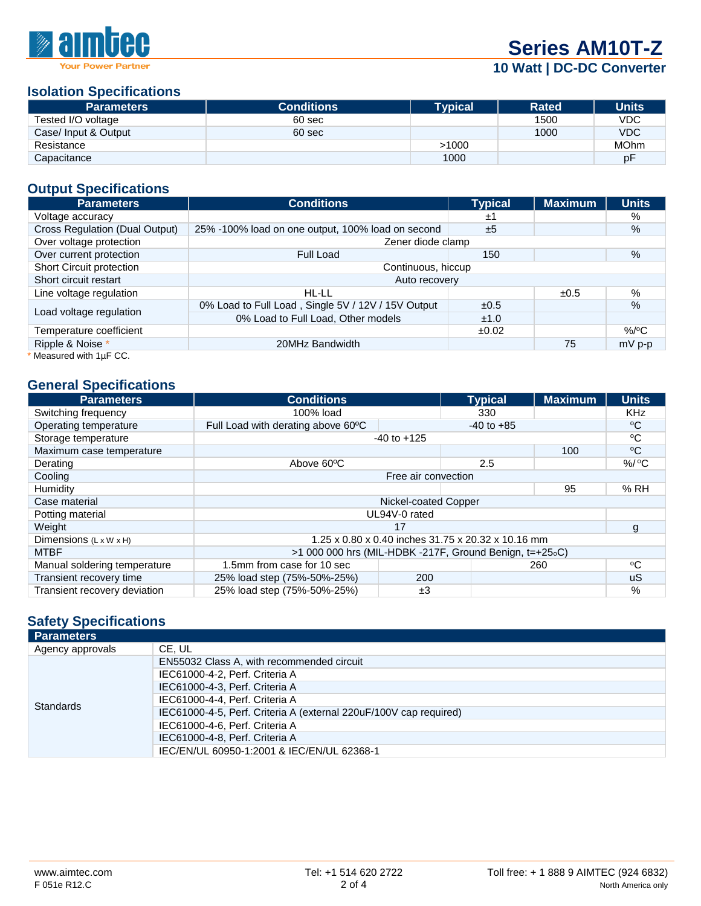

## **10 Watt | DC-DC Converter**

#### **Isolation Specifications**

| <b>Parameters</b>    | <b>Conditions</b> | Tvpical <b>'</b> | <b>Rated</b> | <b>Units</b> |
|----------------------|-------------------|------------------|--------------|--------------|
| Tested I/O voltage   | 60 sec            |                  | 1500         | <b>VDC</b>   |
| Case/ Input & Output | 60 sec            |                  | 1000         | <b>VDC</b>   |
| Resistance           |                   | >1000            |              | <b>MOhm</b>  |
| Capacitance          |                   | 1000             |              | рF           |

#### **Output Specifications**

| <b>Parameters</b>              | <b>Conditions</b>                                  | <b>Typical</b> | <b>Maximum</b> | <b>Units</b>  |  |
|--------------------------------|----------------------------------------------------|----------------|----------------|---------------|--|
| Voltage accuracy               |                                                    | ±1             |                | %             |  |
| Cross Regulation (Dual Output) | 25% -100% load on one output, 100% load on second  | ±5             |                | $\%$          |  |
| Over voltage protection        | Zener diode clamp                                  |                |                |               |  |
| Over current protection        | Full Load                                          | 150            |                | $\%$          |  |
| Short Circuit protection       | Continuous, hiccup                                 |                |                |               |  |
| Short circuit restart          | Auto recovery                                      |                |                |               |  |
| Line voltage regulation        | HL-LL                                              |                | ±0.5           | %             |  |
|                                | 0% Load to Full Load, Single 5V / 12V / 15V Output | ±0.5           |                | $\frac{9}{6}$ |  |
| Load voltage regulation        | 0% Load to Full Load, Other models                 | ±1.0           |                |               |  |
| Temperature coefficient        |                                                    | ±0.02          |                | $%$ /°C       |  |
| Ripple & Noise *               | 20MHz Bandwidth                                    |                | 75             | $mV$ p-p      |  |
| Mooning with $1\cdot E$ CC     |                                                    |                |                |               |  |

Measured with  $1\mu$ F CC.

#### **General Specifications**

| <b>Parameters</b>                  | <b>Conditions</b>                                       |    | <b>Typical</b> | <b>Maximum</b> | <b>Units</b> |
|------------------------------------|---------------------------------------------------------|----|----------------|----------------|--------------|
| Switching frequency                | 100% load                                               |    | 330            |                | <b>KHz</b>   |
| Operating temperature              | Full Load with derating above 60°C                      |    | $-40$ to $+85$ |                | °C           |
| Storage temperature                | $-40$ to $+125$                                         |    |                | °C             |              |
| Maximum case temperature           |                                                         |    |                | 100            | °C           |
| Derating                           | Above 60°C                                              |    | 2.5            |                | $%$ / $°C$   |
| Cooling                            | Free air convection                                     |    |                |                |              |
| Humidity                           |                                                         |    |                | 95             | % RH         |
| Case material                      | Nickel-coated Copper                                    |    |                |                |              |
| Potting material                   | UL94V-0 rated                                           |    |                |                |              |
| Weight                             | 17                                                      |    |                | g              |              |
| Dimensions $(L \times W \times H)$ | 1.25 x 0.80 x 0.40 inches 31.75 x 20.32 x 10.16 mm      |    |                |                |              |
| <b>MTBF</b>                        | $>1000000$ hrs (MIL-HDBK -217F, Ground Benign, t=+25.C) |    |                |                |              |
| Manual soldering temperature       | 1.5mm from case for 10 sec                              |    |                | 260            | °C           |
| Transient recovery time            | 200<br>25% load step (75%-50%-25%)                      |    |                |                | uS.          |
| Transient recovery deviation       | 25% load step (75%-50%-25%)                             | ±3 |                |                | %            |

### **Safety Specifications**

| <b>Parameters</b> |                                                                   |
|-------------------|-------------------------------------------------------------------|
| Agency approvals  | CE, UL                                                            |
|                   | EN55032 Class A, with recommended circuit                         |
|                   | IEC61000-4-2, Perf. Criteria A                                    |
|                   | IEC61000-4-3, Perf. Criteria A                                    |
| Standards         | IEC61000-4-4, Perf. Criteria A                                    |
|                   | IEC61000-4-5, Perf. Criteria A (external 220uF/100V cap required) |
|                   | IEC61000-4-6, Perf. Criteria A                                    |
|                   | IEC61000-4-8. Perf. Criteria A                                    |
|                   | IEC/EN/UL 60950-1:2001 & IEC/EN/UL 62368-1                        |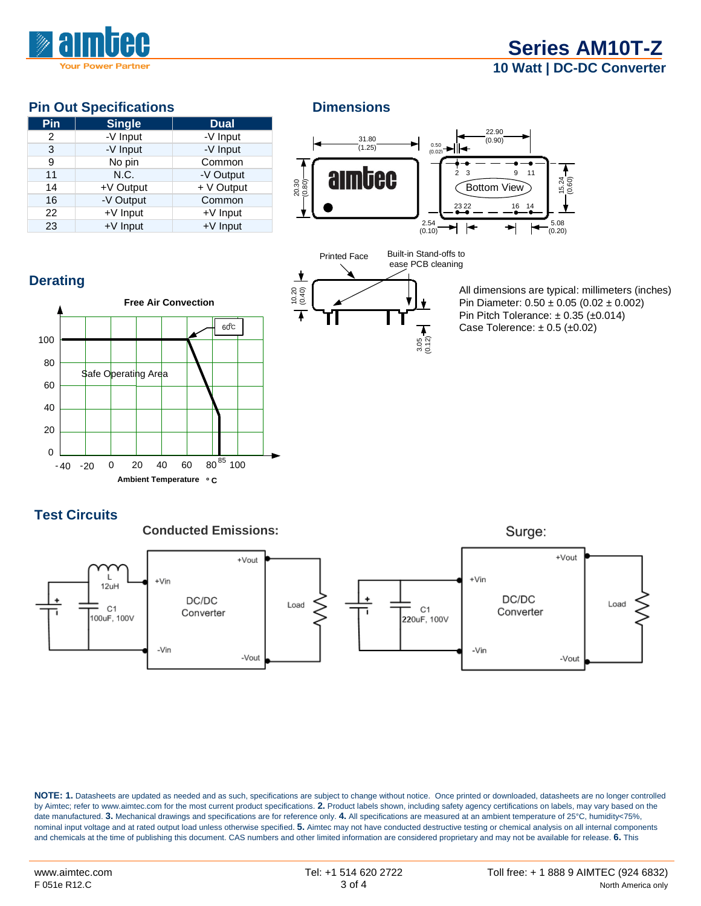

## **[Series AM10T-Z](http://www.aimtec.com/am10t-z) 10 Watt | DC-DC Converter**

### **Pin Out Specifications Dimensions**

| Pin            | <b>Single</b> | <b>Dual</b> |
|----------------|---------------|-------------|
| $\overline{2}$ | -V Input      | -V Input    |
| 3              | -V Input      | -V Input    |
| 9              | No pin        | Common      |
| 11             | N.C.          | -V Output   |
| 14             | +V Output     | + V Output  |
| 16             | -V Output     | Common      |
| 22             | +V Input      | +V Input    |
| 23             | $+V$ Input    | $+V$ Input  |





All dimensions are typical: millimeters (inches) Pin Diameter: 0.50 ± 0.05 (0.02 ± 0.002) Pin Pitch Tolerance: ± 0.35 (±0.014) Case Tolerence:  $\pm$  0.5 ( $\pm$ 0.02)

## **Derating**



### **Test Circuits**



**NOTE: 1.** Datasheets are updated as needed and as such, specifications are subject to change without notice. Once printed or downloaded, datasheets are no longer controlled by Aimtec; refer to www.aimtec.com for the most current product specifications. **2.** Product labels shown, including safety agency certifications on labels, may vary based on the date manufactured. **3.** Mechanical drawings and specifications are for reference only. **4.** All specifications are measured at an ambient temperature of 25°C, humidity<75%, nominal input voltage and at rated output load unless otherwise specified. **5.** Aimtec may not have conducted destructive testing or chemical analysis on all internal components and chemicals at the time of publishing this document. CAS numbers and other limited information are considered proprietary and may not be available for release. **6.** This